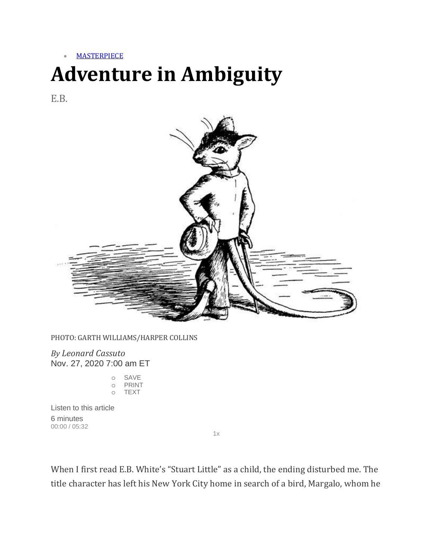• [MASTERPIECE](https://www.wsj.com/news/types/masterpiece?mod=breadcrumb)

## **Adventure in Ambiguity**

E.B.



PHOTO: GARTH WILLIAMS/HARPER COLLINS

*By Leonard Cassuto* Nov. 27, 2020 7:00 am ET

| O | SAVE                 |
|---|----------------------|
| O | PRINT                |
| O | $I$ $\vdash$ $X$ $T$ |

Listen to this article 6 minutes 00:00 / 05:32

 $1x$ 

When I first read E.B. White's "Stuart Little" as a child, the ending disturbed me. The title character has left his New York City home in search of a bird, Margalo, whom he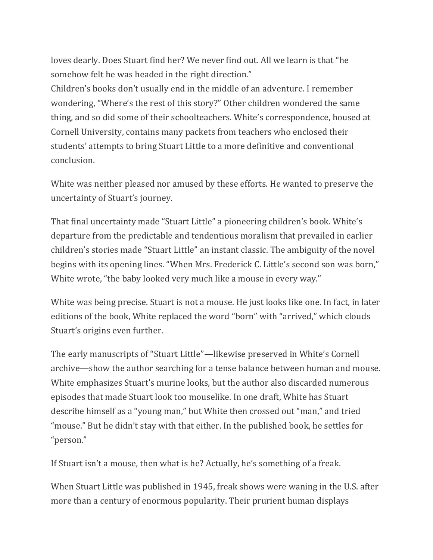loves dearly. Does Stuart find her? We never find out. All we learn is that "he somehow felt he was headed in the right direction."

Children's books don't usually end in the middle of an adventure. I remember wondering, "Where's the rest of this story?" Other children wondered the same thing, and so did some of their schoolteachers. White's correspondence, housed at Cornell University, contains many packets from teachers who enclosed their students' attempts to bring Stuart Little to a more definitive and conventional conclusion.

White was neither pleased nor amused by these efforts. He wanted to preserve the uncertainty of Stuart's journey.

That final uncertainty made "Stuart Little" a pioneering children's book. White's departure from the predictable and tendentious moralism that prevailed in earlier children's stories made "Stuart Little" an instant classic. The ambiguity of the novel begins with its opening lines. "When Mrs. Frederick C. Little's second son was born," White wrote, "the baby looked very much like a mouse in every way."

White was being precise. Stuart is not a mouse. He just looks like one. In fact, in later editions of the book, White replaced the word "born" with "arrived," which clouds Stuart's origins even further.

The early manuscripts of "Stuart Little"—likewise preserved in White's Cornell archive—show the author searching for a tense balance between human and mouse. White emphasizes Stuart's murine looks, but the author also discarded numerous episodes that made Stuart look too mouselike. In one draft, White has Stuart describe himself as a "young man," but White then crossed out "man," and tried "mouse." But he didn't stay with that either. In the published book, he settles for "person."

If Stuart isn't a mouse, then what is he? Actually, he's something of a freak.

When Stuart Little was published in 1945, freak shows were waning in the U.S. after more than a century of enormous popularity. Their prurient human displays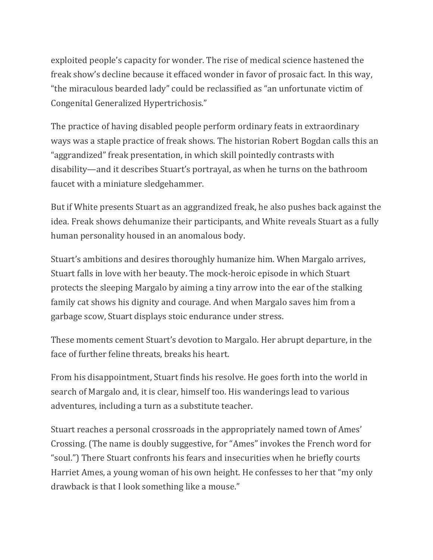exploited people's capacity for wonder. The rise of medical science hastened the freak show's decline because it effaced wonder in favor of prosaic fact. In this way, "the miraculous bearded lady" could be reclassified as "an unfortunate victim of Congenital Generalized Hypertrichosis."

The practice of having disabled people perform ordinary feats in extraordinary ways was a staple practice of freak shows. The historian Robert Bogdan calls this an "aggrandized" freak presentation, in which skill pointedly contrasts with disability—and it describes Stuart's portrayal, as when he turns on the bathroom faucet with a miniature sledgehammer.

But if White presents Stuart as an aggrandized freak, he also pushes back against the idea. Freak shows dehumanize their participants, and White reveals Stuart as a fully human personality housed in an anomalous body.

Stuart's ambitions and desires thoroughly humanize him. When Margalo arrives, Stuart falls in love with her beauty. The mock-heroic episode in which Stuart protects the sleeping Margalo by aiming a tiny arrow into the ear of the stalking family cat shows his dignity and courage. And when Margalo saves him from a garbage scow, Stuart displays stoic endurance under stress.

These moments cement Stuart's devotion to Margalo. Her abrupt departure, in the face of further feline threats, breaks his heart.

From his disappointment, Stuart finds his resolve. He goes forth into the world in search of Margalo and, it is clear, himself too. His wanderings lead to various adventures, including a turn as a substitute teacher.

Stuart reaches a personal crossroads in the appropriately named town of Ames' Crossing. (The name is doubly suggestive, for "Ames" invokes the French word for "soul.") There Stuart confronts his fears and insecurities when he briefly courts Harriet Ames, a young woman of his own height. He confesses to her that "my only drawback is that I look something like a mouse."